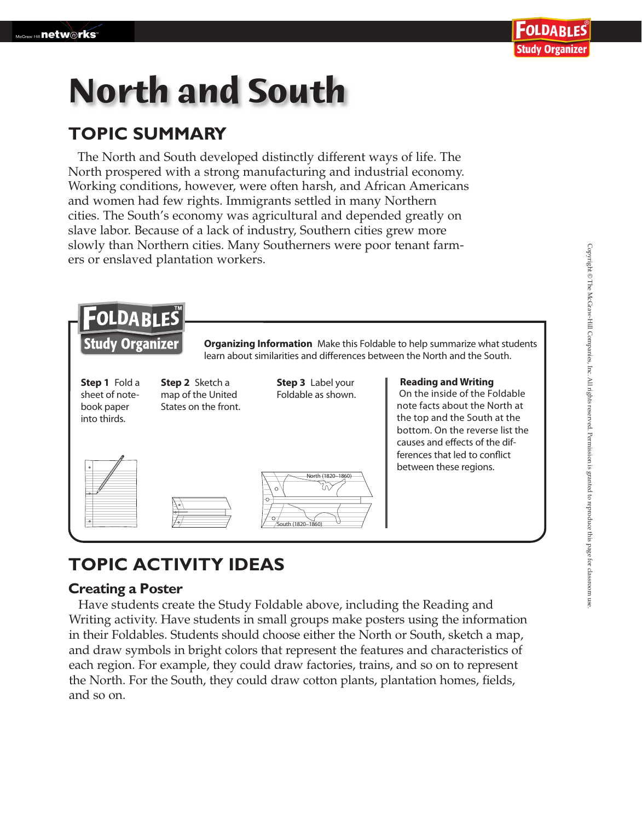# **North and South**

### **TOPIC SUMMARY**

The North and South developed distinctly different ways of life. The North prospered with a strong manufacturing and industrial economy. Working conditions, however, were often harsh, and African Americans and women had few rights. Immigrants settled in many Northern cities. The South's economy was agricultural and depended greatly on slave labor. Because of a lack of industry, Southern cities grew more slowly than Northern cities. Many Southerners were poor tenant farmers or enslaved plantation workers.



## **TOPIC ACTIVITY IDEAS**

#### **Creating a Poster**

 Have students create the Study Foldable above, including the Reading and Writing activity. Have students in small groups make posters using the information in their Foldables. Students should choose either the North or South, sketch a map, and draw symbols in bright colors that represent the features and characteristics of each region. For example, they could draw factories, trains, and so on to represent the North. For the South, they could draw cotton plants, plantation homes, fields, and so on.